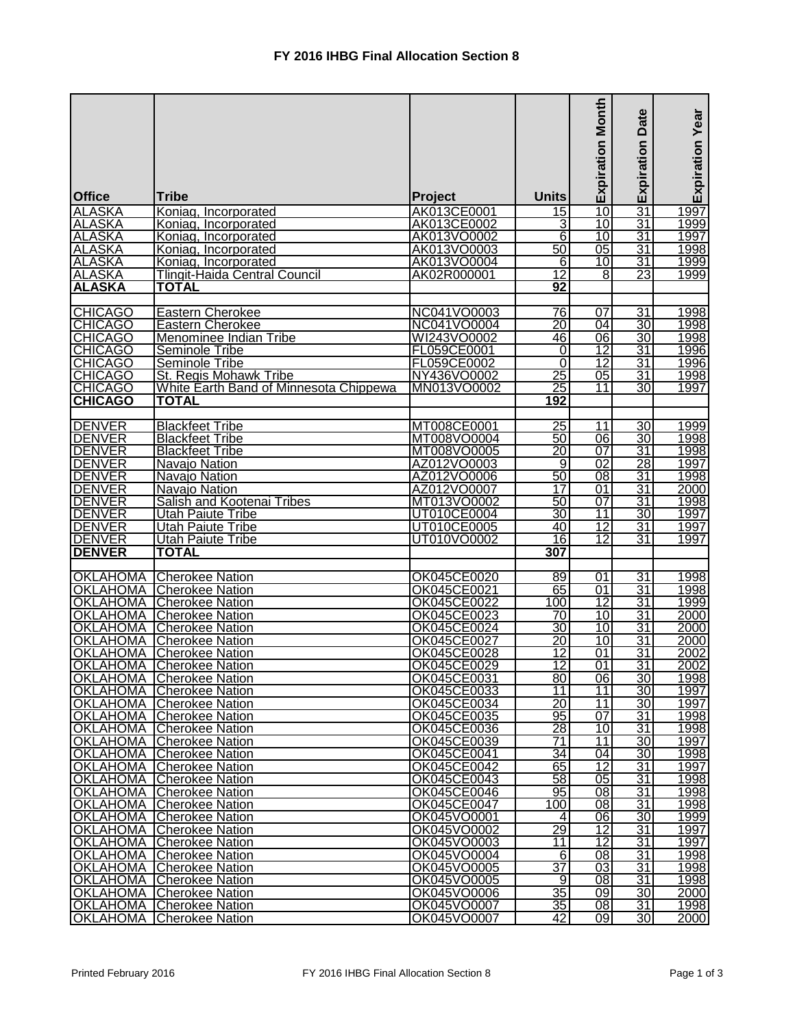|                                |                                                                    |                            |                       | <b>Expiration Month</b> | Date                               | <b>Expiration Year</b> |
|--------------------------------|--------------------------------------------------------------------|----------------------------|-----------------------|-------------------------|------------------------------------|------------------------|
|                                |                                                                    |                            |                       |                         | Expiration                         |                        |
| <b>Office</b>                  | <b>Tribe</b>                                                       | Project                    | <b>Units</b>          |                         |                                    |                        |
| <b>ALASKA</b>                  | Koniag, Incorporated                                               | AK013CE0001                | $\overline{15}$       | 10                      | $\overline{31}$                    | 1997                   |
| <b>ALASKA</b>                  | Koniag, Incorporated                                               | AK013CE0002                | 3                     | 10                      | 31                                 | 1999                   |
| <b>ALASKA</b>                  | Koniag, Incorporated                                               | AK013VO0002                | $\overline{6}$        | 10                      | $\overline{31}$                    | 1997                   |
| <b>ALASKA</b>                  | Koniag, Incorporated                                               | AK013VO0003                | 50                    | 05                      | 31                                 | 1998                   |
| <b>ALASKA</b>                  | Koniag, Incorporated                                               | AK013VO0004                | 6                     | 10                      | 31                                 | 1999                   |
| <b>ALASKA</b><br><b>ALASKA</b> | <b>Tlingit-Haida Central Council</b><br><b>TOTAL</b>               | AK02R000001                | 12<br>$\overline{92}$ | 8                       | 23                                 | 1999                   |
|                                |                                                                    |                            |                       |                         |                                    |                        |
| <b>CHICAGO</b>                 | <b>Eastern Cherokee</b>                                            | NC041VO0003                | 76                    | 07                      | $\overline{31}$                    | 1998                   |
| <b>CHICAGO</b>                 | <b>Eastern Cherokee</b>                                            | NC041VO0004                | $\overline{20}$       | 04                      | 30                                 | 1998                   |
| <b>CHICAGO</b>                 | Menominee Indian Tribe                                             | WI243VO0002                | 46                    | 06                      | $\overline{30}$                    | 1998                   |
| <b>CHICAGO</b>                 | Seminole Tribe                                                     | FL059CE0001                | 0                     | 12                      | 31                                 | 1996                   |
| <b>CHICAGO</b>                 | Seminole Tribe                                                     | FL059CE0002                | 0                     | $\overline{12}$         | $\overline{31}$                    | 1996                   |
| <b>CHICAGO</b>                 | St. Regis Mohawk Tribe                                             | NY436VO0002                | $\overline{25}$       | 05                      | <u>31</u>                          | 1998                   |
| <b>CHICAGO</b>                 | White Earth Band of Minnesota Chippewa                             | MN013VO0002                | 25                    | 11                      | $\overline{30}$                    | 1997                   |
| <b>CHICAGO</b>                 | <b>TOTAL</b>                                                       |                            | 192                   |                         |                                    |                        |
| <b>DENVER</b>                  | <b>Blackfeet Tribe</b>                                             | MT008CE0001                | $\overline{25}$       | 11                      | 30                                 | 1999                   |
| <b>DENVER</b>                  | <b>Blackfeet Tribe</b>                                             | MT008VO0004                | 50                    | 06                      | 30                                 | 1998                   |
| <b>DENVER</b>                  | <b>Blackfeet Tribe</b>                                             | MT008VO0005                | $\overline{20}$       | 07                      | $\overline{31}$                    | 1998                   |
| <b>DENVER</b>                  | Navajo Nation                                                      | AZ012VO0003                | 9                     | $\overline{02}$         | 28                                 | 1997                   |
| <b>DENVER</b>                  | Navajo Nation                                                      | AZ012VO0006                | 50                    | 08                      | 31                                 | 1998                   |
| <b>DENVER</b>                  | Navajo Nation                                                      | AZ012VO0007                | 17                    | 01                      | $\overline{31}$                    | 2000                   |
| <b>DENVER</b>                  | Salish and Kootenai Tribes                                         | MT013VO0002                | 50                    | $\overline{07}$         | $\overline{31}$                    | 1998                   |
| <b>DENVER</b>                  | <b>Utah Paiute Tribe</b>                                           | UT010CE0004                | 30                    | 11                      | $\overline{30}$                    | 1997                   |
| <b>DENVER</b>                  | <b>Utah Paiute Tribe</b>                                           | UT010CE0005                | 40                    | 12                      | $\overline{31}$                    | 1997                   |
| <b>DENVER</b>                  | <b>Utah Paiute Tribe</b>                                           | UT010VO0002                | 16                    | $\overline{12}$         | $\overline{31}$                    | 1997                   |
| <b>DENVER</b>                  | <b>TOTAL</b>                                                       |                            | 307                   |                         |                                    |                        |
| <b>OKLAHOMA</b>                | <b>Cherokee Nation</b>                                             |                            |                       | 01                      |                                    | 1998                   |
|                                | <b>OKLAHOMA</b> Cherokee Nation                                    | OK045CE0020<br>OK045CE0021 | 89<br>65              | 01                      | $\overline{31}$<br>$\overline{31}$ | 1998                   |
| <b>OKLAHOMA</b>                | Cherokee Nation                                                    | OK045CE0022                | 100                   | 12                      | 31                                 | 1999                   |
|                                | <b>OKLAHOMA</b> Cherokee Nation                                    | OK045CE0023                | 70                    | $\overline{10}$         | $\overline{31}$                    | 2000                   |
| <b>OKLAHOMA</b>                | <b>Cherokee Nation</b>                                             | OK045CE0024                | 30                    | 10                      | 31                                 | 2000                   |
| <b>OKLAHOMA</b>                | <b>Cherokee Nation</b>                                             | OK045CE0027                | $\overline{20}$       | 10                      | 31                                 | 2000                   |
| <b>OKLAHOMA</b>                | <b>Cherokee Nation</b>                                             | OK045CE0028                | 12                    | 01                      | $\overline{31}$                    | 2002                   |
|                                | <b>OKLAHOMA</b> Cherokee Nation                                    | OK045CE0029                | 12                    | 01                      | 31                                 | 2002                   |
|                                | <b>OKLAHOMA</b> Cherokee Nation                                    | <u>OK045CE0031</u>         | <u>80</u>             | <u>06</u>               | <u>30 l</u>                        | <u> 1998 </u>          |
|                                | <b>OKLAHOMA</b> Cherokee Nation                                    | OK045CE0033                | 11                    | 11                      | 30                                 | 1997                   |
|                                | <b>OKLAHOMA</b> Cherokee Nation                                    | OK045CE0034                | $\overline{20}$       | 11                      | 30                                 | 1997                   |
|                                | <b>OKLAHOMA</b> Cherokee Nation                                    | OK045CE0035                | 95                    | 07                      | $\overline{31}$                    | 1998                   |
|                                | <b>OKLAHOMA</b> Cherokee Nation                                    | OK045CE0036                | $\overline{28}$       | 10                      | 31                                 | 1998                   |
|                                | <b>OKLAHOMA</b> Cherokee Nation                                    | OK045CE0039                | 71                    | 11                      | 30                                 | 1997                   |
|                                | <b>OKLAHOMA</b> Cherokee Nation                                    | OK045CE0041                | 34                    | 04                      | 30                                 | 1998                   |
|                                | <b>OKLAHOMA</b> Cherokee Nation                                    | OK045CE0042                | 65                    | $\overline{12}$         | 31                                 | 1997                   |
|                                | <b>OKLAHOMA</b> Cherokee Nation<br><b>OKLAHOMA</b> Cherokee Nation | OK045CE0043<br>OK045CE0046 | 58<br>95              | 05<br>$\overline{08}$   | 31<br>31                           | 1998<br>1998           |
|                                | <b>OKLAHOMA</b> Cherokee Nation                                    | OK045CE0047                | 100                   | 08                      | 31                                 | 1998                   |
|                                | <b>OKLAHOMA</b> Cherokee Nation                                    | OK045VO0001                | 4                     | 06                      | 30                                 | 1999                   |
|                                | <b>OKLAHOMA</b> Cherokee Nation                                    | OK045VO0002                | 29                    | $\overline{12}$         | 31                                 | 1997                   |
|                                | <b>OKLAHOMA</b> Cherokee Nation                                    | OK045VO0003                | 11                    | 12                      | 31                                 | 1997                   |
|                                | <b>OKLAHOMA</b> Cherokee Nation                                    | OK045VO0004                | 6                     | $\overline{08}$         | 31                                 | 1998                   |
|                                | <b>OKLAHOMA</b> Cherokee Nation                                    | OK045VO0005                | $\overline{37}$       | 03                      | $\overline{31}$                    | 1998                   |
|                                | <b>OKLAHOMA</b> Cherokee Nation                                    | OK045VO0005                | 9                     | 08                      | $\overline{31}$                    | 1998                   |
|                                | <b>OKLAHOMA</b> Cherokee Nation                                    | OK045VO0006                | 35                    | 09                      | 30                                 | 2000                   |
|                                | <b>OKLAHOMA Cherokee Nation</b>                                    | OK045VO0007                | 35                    | 08                      | 31                                 | 1998                   |
|                                | <b>OKLAHOMA</b> Cherokee Nation                                    | OK045VO0007                | 42                    | 09                      | 30 <sup>°</sup>                    | 2000                   |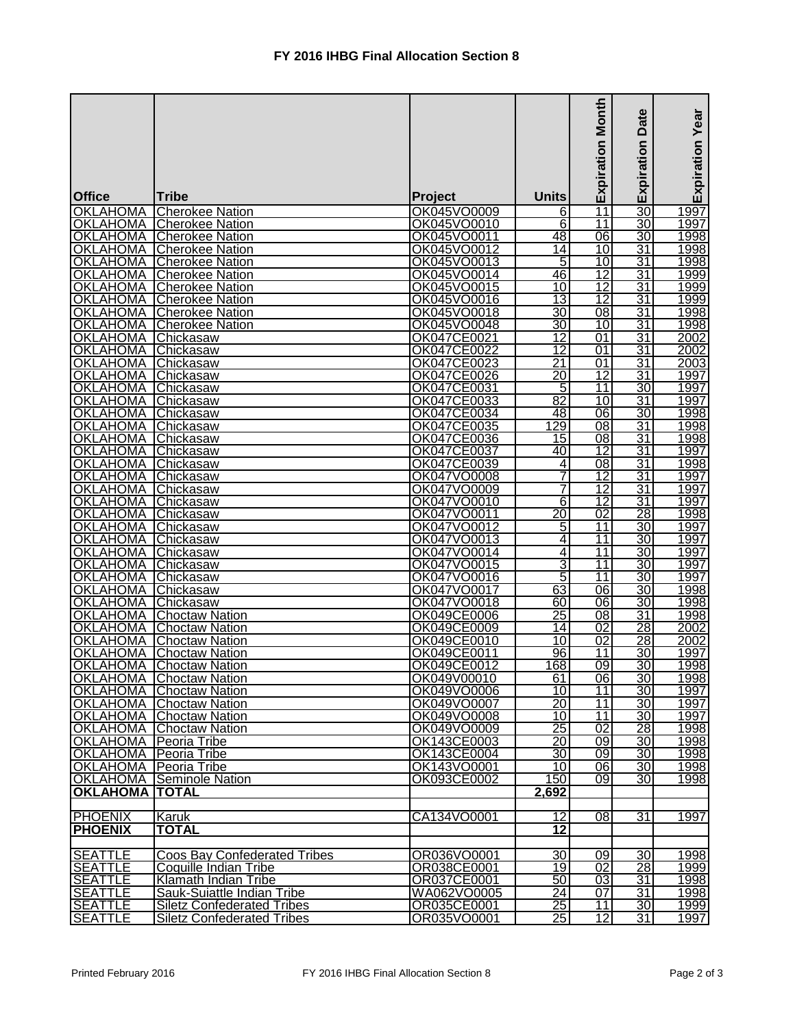|                                    |                                                  |                            |                                      | <b>Expiration Month</b>            | Date            | <b>Expiration Year</b> |
|------------------------------------|--------------------------------------------------|----------------------------|--------------------------------------|------------------------------------|-----------------|------------------------|
|                                    |                                                  |                            |                                      |                                    | Expiration      |                        |
| <b>Office</b>                      | <b>Tribe</b>                                     | Project                    | <b>Units</b>                         |                                    |                 |                        |
| <b>OKLAHOMA</b>                    | <b>Cherokee Nation</b>                           | OK045VO0009                | $6 \overline{}$                      | $\overline{11}$                    | $\overline{30}$ | 1997                   |
| OKLAHOMA                           | <b>Cherokee Nation</b>                           | OK045VO0010                | $\overline{6}$                       | 11                                 | $\overline{30}$ | 1997                   |
| <b>OKLAHOMA</b>                    | <b>Cherokee Nation</b>                           | OK045VO0011                | 48                                   | 06                                 | $\overline{30}$ | 1998                   |
| <b>OKLAHOMA</b>                    | <b>Cherokee Nation</b>                           | OK045VO0012                | 14                                   | 10                                 | 31              | 1998                   |
| <b>OKLAHOMA</b>                    | <b>Cherokee Nation</b>                           | OK045VO0013                | 5                                    | 10                                 | 31              | 1998                   |
| <b>OKLAHOMA</b>                    | <b>Cherokee Nation</b>                           | OK045VO0014                | 46                                   | 12<br>$\overline{12}$              | 31              | 1999                   |
| <b>OKLAHOMA</b><br><b>OKLAHOMA</b> | <b>Cherokee Nation</b><br><b>Cherokee Nation</b> | OK045VO0015<br>OK045VO0016 | $\overline{10}$<br>13                | $\overline{12}$                    | 31<br>31        | 1999<br>1999           |
| <b>OKLAHOMA</b>                    | <b>Cherokee Nation</b>                           | OK045VO0018                | 30                                   | 08                                 | 31              | 1998                   |
| <b>OKLAHOMA</b>                    | <b>Cherokee Nation</b>                           | OK045VO0048                | 30                                   | 10                                 | 31              | 1998                   |
| <b>OKLAHOMA</b>                    | Chickasaw                                        | OK047CE0021                | $\overline{12}$                      | 01                                 | 31              | 2002                   |
| <b>OKLAHOMA</b>                    | Chickasaw                                        | OK047CE0022                | $\overline{12}$                      | 01                                 | $\overline{31}$ | 2002                   |
| <b>OKLAHOMA</b>                    | Chickasaw                                        | OK047CE0023                | $\overline{21}$                      | 01                                 | 31              | 2003                   |
| <b>OKLAHOMA</b>                    | Chickasaw                                        | OK047CE0026                | $\overline{20}$                      | $\overline{12}$                    | $\overline{31}$ | 1997                   |
| <b>OKLAHOMA</b>                    | Chickasaw                                        | OK047CE0031                | 5                                    | $\overline{11}$                    | 30              | 1997                   |
| <b>OKLAHOMA</b>                    | Chickasaw                                        | OK047CE0033                | 82                                   | 10                                 | 31              | 1997                   |
| OKLAHOMA                           | Chickasaw                                        | OK047CE0034                | 48                                   | 06                                 | 30              | 1998                   |
| <b>OKLAHOMA</b>                    | Chickasaw                                        | OK047CE0035                | 129                                  | $\overline{08}$                    | $\overline{31}$ | 1998                   |
| <b>OKLAHOMA</b>                    | Chickasaw                                        | OK047CE0036                | 15                                   | 08                                 | 31              | 1998                   |
| <b>OKLAHOMA</b><br><b>OKLAHOMA</b> | Chickasaw                                        | OK047CE0037<br>OK047CE0039 | 40                                   | $\overline{12}$<br>$\overline{08}$ | 31<br>31        | 1997<br>1998           |
| <b>OKLAHOMA</b>                    | Chickasaw<br>Chickasaw                           | OK047VO0008                | 4<br>7                               | $\overline{12}$                    | <u>31</u>       | 1997                   |
| <b>OKLAHOMA</b>                    | Chickasaw                                        | OK047VO0009                | 7                                    | $\overline{12}$                    | $\overline{31}$ | 1997                   |
| <b>OKLAHOMA</b>                    | Chickasaw                                        | OK047VO0010                | 6                                    | $\overline{12}$                    | 31              | 1997                   |
| <b>OKLAHOMA</b>                    | Chickasaw                                        | OK047VO0011                | $\overline{20}$                      | 02                                 | 28              | 1998                   |
| <b>OKLAHOMA</b>                    | Chickasaw                                        | OK047VO0012                | 5                                    | $\overline{11}$                    | 30              | 1997                   |
| <b>OKLAHOMA</b>                    | Chickasaw                                        | OK047VO0013                | 4                                    | $\overline{11}$                    | $\overline{30}$ | 1997                   |
| <b>OKLAHOMA</b>                    | Chickasaw                                        | OK047VO0014                | <u>4</u>                             | $\overline{11}$                    | 30              | 1997                   |
| <b>OKLAHOMA</b>                    | Chickasaw                                        | OK047VO0015                | 3                                    | $\overline{11}$                    | 30              | 1997                   |
| <b>OKLAHOMA</b>                    | Chickasaw                                        | OK047VO0016                | 5                                    | 11                                 | 30              | 1997                   |
| <b>OKLAHOMA</b>                    | Chickasaw                                        | OK047VO0017                | 63                                   | 06                                 | $\overline{30}$ | 1998                   |
| <b>OKLAHOMA</b>                    | <b>Chickasaw</b>                                 | OK047VO0018                | 60                                   | 06                                 | 30              | 1998                   |
| <b>OKLAHOMA</b>                    | <b>Choctaw Nation</b>                            | OK049CE0006                | $\overline{25}$                      | 08                                 | $\overline{31}$ | 1998                   |
| OKLAHOMA                           | <b>Choctaw Nation</b>                            | OK049CE0009                | 14<br>10                             | 02<br>02                           | 28              | 2002<br>2002           |
| <b>OKLAHOMA</b><br>OKLAHOMA        | <b>Choctaw Nation</b><br><b>Choctaw Nation</b>   | OK049CE0010<br>OK049CE0011 | 96                                   | 11                                 | 28<br>30        | 1997                   |
| <b>OKLAHOMA</b>                    | <b>Choctaw Nation</b>                            | OK049CE0012                | 168                                  | 09                                 | 30              | 1998                   |
|                                    | <b>OKLAHOMA</b> Choctaw Nation                   | OK049V00010                | 61                                   | 06                                 | 30 <sub>l</sub> | 1998                   |
|                                    | <b>OKLAHOMA</b> Choctaw Nation                   | OK049VO0006                | 10 <sub>l</sub>                      | 11                                 | 30 <sub>l</sub> | 1997                   |
|                                    | <b>OKLAHOMA</b> Choctaw Nation                   | OK049VO0007                | 20                                   | 11                                 | 30 <sup>°</sup> | 1997                   |
|                                    | <b>OKLAHOMA</b> Choctaw Nation                   | OK049VO0008                | 10 <sup>1</sup>                      | 11                                 | 30 <sup>2</sup> | 1997                   |
|                                    | <b>OKLAHOMA</b> Choctaw Nation                   | OK049VO0009                | 25                                   | 02                                 | 28              | 1998                   |
| <b>OKLAHOMA</b> Peoria Tribe       |                                                  | OK143CE0003                | 20                                   | $\overline{09}$                    | 30              | 1998                   |
| <b>OKLAHOMA</b> Peoria Tribe       |                                                  | OK143CE0004                | 30                                   | $\overline{09}$                    | 30              | 1998                   |
| <b>OKLAHOMA</b> Peoria Tribe       |                                                  | OK143VO0001                | 10                                   | 06                                 | 30              | 1998                   |
|                                    | <b>OKLAHOMA Seminole Nation</b>                  | OK093CE0002                | 150                                  | 09                                 | 30              | 1998                   |
| <b>OKLAHOMA TOTAL</b>              |                                                  |                            | 2,692                                |                                    |                 |                        |
| <b>PHOENIX</b>                     |                                                  | CA134VO0001                |                                      |                                    |                 |                        |
| <b>PHOENIX</b>                     | Karuk<br><b>TOTAL</b>                            |                            | $12 \overline{ }$<br>$\overline{12}$ | 08                                 | 31              | 1997                   |
|                                    |                                                  |                            |                                      |                                    |                 |                        |
| <b>SEATTLE</b>                     | <b>Coos Bay Confederated Tribes</b>              | OR036VO0001                | 30                                   | 09                                 | 30 <sup>2</sup> | 1998                   |
| <b>SEATTLE</b>                     | Coquille Indian Tribe                            | OR038CE0001                | 19                                   | 02                                 | 28              | 1999                   |
| <b>SEATTLE</b>                     | <b>Klamath Indian Tribe</b>                      | OR037CE0001                | 50                                   | 03                                 | $\overline{31}$ | 1998                   |
| <b>SEATTLE</b>                     | Sauk-Suiattle Indian Tribe                       | WA062VO0005                | $\overline{24}$                      | 07                                 | 31              | 1998                   |
| <b>SEATTLE</b>                     | <b>Siletz Confederated Tribes</b>                | OR035CE0001                | 25                                   | 11                                 | 30 <sub>1</sub> | 1999                   |
| <b>SEATTLE</b>                     | <b>Siletz Confederated Tribes</b>                | OR035VO0001                | 25                                   | 12                                 | 31              | 1997                   |